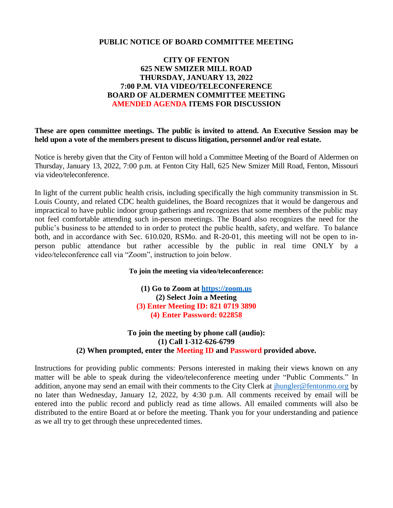## **PUBLIC NOTICE OF BOARD COMMITTEE MEETING**

# **CITY OF FENTON 625 NEW SMIZER MILL ROAD THURSDAY, JANUARY 13, 2022 7:00 P.M. VIA VIDEO/TELECONFERENCE BOARD OF ALDERMEN COMMITTEE MEETING AMENDED AGENDA ITEMS FOR DISCUSSION**

**These are open committee meetings. The public is invited to attend. An Executive Session may be held upon a vote of the members present to discuss litigation, personnel and/or real estate.**

Notice is hereby given that the City of Fenton will hold a Committee Meeting of the Board of Aldermen on Thursday, January 13, 2022, 7:00 p.m. at Fenton City Hall, 625 New Smizer Mill Road, Fenton, Missouri via video/teleconference.

In light of the current public health crisis, including specifically the high community transmission in St. Louis County, and related CDC health guidelines, the Board recognizes that it would be dangerous and impractical to have public indoor group gatherings and recognizes that some members of the public may not feel comfortable attending such in-person meetings. The Board also recognizes the need for the public's business to be attended to in order to protect the public health, safety, and welfare. To balance both, and in accordance with Sec. 610.020, RSMo. and R-20-01, this meeting will not be open to inperson public attendance but rather accessible by the public in real time ONLY by a video/teleconference call via "Zoom", instruction to join below.

#### **To join the meeting via video/teleconference:**

**(1) Go to Zoom at [https://zoom.us](https://zoom.us/) (2) Select Join a Meeting (3) Enter Meeting ID: 821 0719 3890 (4) Enter Password: 022858**

## **To join the meeting by phone call (audio): (1) Call 1-312-626-6799 (2) When prompted, enter the Meeting ID and Password provided above.**

Instructions for providing public comments: Persons interested in making their views known on any matter will be able to speak during the video/teleconference meeting under "Public Comments." In addition, anyone may send an email with their comments to the City Clerk at [jhungler@fentonmo.org](mailto:jhungler@fentonmo.org) by no later than Wednesday, January 12, 2022, by 4:30 p.m. All comments received by email will be entered into the public record and publicly read as time allows. All emailed comments will also be distributed to the entire Board at or before the meeting. Thank you for your understanding and patience as we all try to get through these unprecedented times.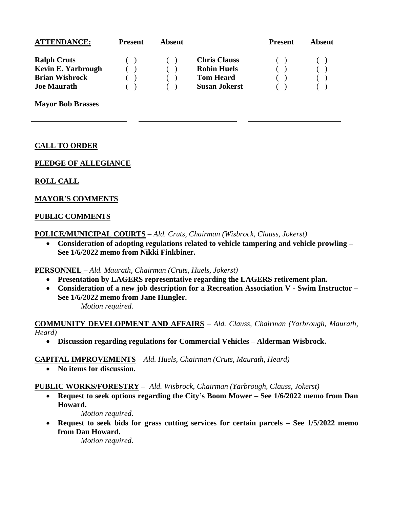| <b>ATTENDANCE:</b>        | <b>Present</b> | Absent |                      | <b>Present</b> | Absent |
|---------------------------|----------------|--------|----------------------|----------------|--------|
| <b>Ralph Cruts</b>        | (              |        | <b>Chris Clauss</b>  |                |        |
| <b>Kevin E. Yarbrough</b> |                |        | <b>Robin Huels</b>   |                |        |
| <b>Brian Wisbrock</b>     |                |        | <b>Tom Heard</b>     |                |        |
| <b>Joe Maurath</b>        |                |        | <b>Susan Jokerst</b> |                |        |

**Mayor Bob Brasses**

# **CALL TO ORDER**

## **PLEDGE OF ALLEGIANCE**

## **ROLL CALL**

## **MAYOR'S COMMENTS**

## **PUBLIC COMMENTS**

**POLICE/MUNICIPAL COURTS** – *Ald. Cruts, Chairman (Wisbrock, Clauss, Jokerst)*

• **Consideration of adopting regulations related to vehicle tampering and vehicle prowling – See 1/6/2022 memo from Nikki Finkbiner.**

**PERSONNEL** – *Ald. Maurath, Chairman (Cruts, Huels, Jokerst)*

- **Presentation by LAGERS representative regarding the LAGERS retirement plan.**
- **Consideration of a new job description for a Recreation Association V - Swim Instructor – See 1/6/2022 memo from Jane Hungler.**

*Motion required.*

**COMMUNITY DEVELOPMENT AND AFFAIRS** – *Ald. Clauss, Chairman (Yarbrough, Maurath, Heard)*

• **Discussion regarding regulations for Commercial Vehicles – Alderman Wisbrock.**

#### **CAPITAL IMPROVEMENTS** – *Ald. Huels, Chairman (Cruts, Maurath, Heard)*

• **No items for discussion.**

#### **PUBLIC WORKS/FORESTRY –** *Ald. Wisbrock, Chairman (Yarbrough, Clauss, Jokerst)*

• **Request to seek options regarding the City's Boom Mower – See 1/6/2022 memo from Dan Howard.**

*Motion required.*

• **Request to seek bids for grass cutting services for certain parcels – See 1/5/2022 memo from Dan Howard.**

*Motion required.*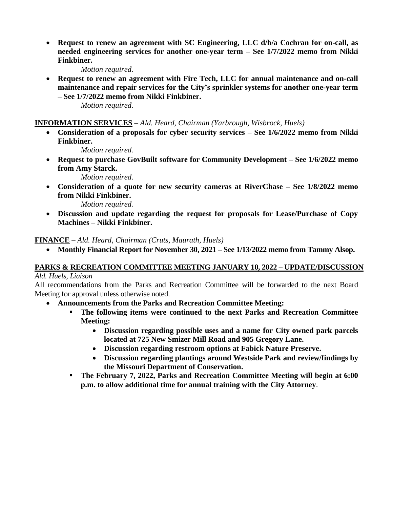• **Request to renew an agreement with SC Engineering, LLC d/b/a Cochran for on-call, as needed engineering services for another one-year term – See 1/7/2022 memo from Nikki Finkbiner.**

*Motion required.*

• **Request to renew an agreement with Fire Tech, LLC for annual maintenance and on-call maintenance and repair services for the City's sprinkler systems for another one-year term – See 1/7/2022 memo from Nikki Finkbiner.**

*Motion required.*

## **INFORMATION SERVICES** – *Ald. Heard, Chairman (Yarbrough, Wisbrock, Huels)*

• **Consideration of a proposals for cyber security services – See 1/6/2022 memo from Nikki Finkbiner.**

*Motion required.*

• **Request to purchase GovBuilt software for Community Development – See 1/6/2022 memo from Amy Starck.**

*Motion required.*

• **Consideration of a quote for new security cameras at RiverChase – See 1/8/2022 memo from Nikki Finkbiner.**

*Motion required.*

• **Discussion and update regarding the request for proposals for Lease/Purchase of Copy Machines – Nikki Finkbiner.**

**FINANCE** – *Ald. Heard, Chairman (Cruts, Maurath, Huels)*

• **Monthly Financial Report for November 30, 2021 – See 1/13/2022 memo from Tammy Alsop.**

# **PARKS & RECREATION COMMITTEE MEETING JANUARY 10, 2022 – UPDATE/DISCUSSION**

*Ald. Huels, Liaison*

All recommendations from the Parks and Recreation Committee will be forwarded to the next Board Meeting for approval unless otherwise noted.

- **Announcements from the Parks and Recreation Committee Meeting:**
	- **The following items were continued to the next Parks and Recreation Committee Meeting:**
		- **Discussion regarding possible uses and a name for City owned park parcels located at 725 New Smizer Mill Road and 905 Gregory Lane.**
		- **Discussion regarding restroom options at Fabick Nature Preserve.**
		- **Discussion regarding plantings around Westside Park and review/findings by the Missouri Department of Conservation.**
	- **The February 7, 2022, Parks and Recreation Committee Meeting will begin at 6:00 p.m. to allow additional time for annual training with the City Attorney**.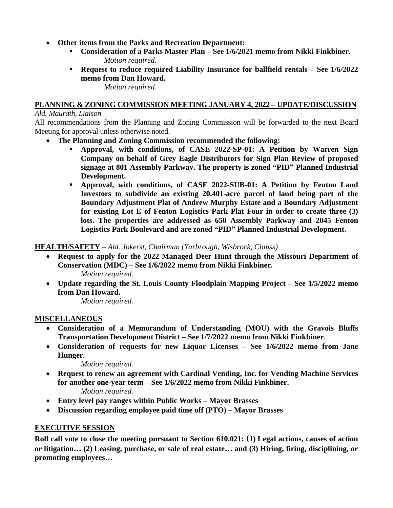- **Other items from the Parks and Recreation Department:**
	- **Consideration of a Parks Master Plan – See 1/6/2021 memo from Nikki Finkbiner.** *Motion required.*
	- **Request to reduce required Liability Insurance for ballfield rentals – See 1/6/2022 memo from Dan Howard.**

*Motion required.*

# **PLANNING & ZONING COMMISSION MEETING JANUARY 4, 2022 – UPDATE/DISCUSSION**

# *Ald. Maurath, Liaison*

All recommendations from the Planning and Zoning Commission will be forwarded to the next Board Meeting for approval unless otherwise noted.

- **The Planning and Zoning Commission recommended the following:**
	- **Approval, with conditions, of CASE 2022-SP-01: A Petition by Warren Sign Company on behalf of Grey Eagle Distributors for Sign Plan Review of proposed signage at 801 Assembly Parkway. The property is zoned "PID" Planned Industrial Development.**
	- **Approval, with conditions, of CASE 2022-SUB-01: A Petition by Fenton Land Investors to subdivide an existing 20.401-acre parcel of land being part of the Boundary Adjustment Plat of Andrew Murphy Estate and a Boundary Adjustment for existing Lot E of Fenton Logistics Park Plat Four in order to create three (3) lots. The properties are addressed as 650 Assembly Parkway and 2045 Fenton Logistics Park Boulevard and are zoned "PID" Planned Industrial Development.**

# **HEALTH/SAFETY** – *Ald. Jokerst, Chairman (Yarbrough, Wisbrock, Clauss)*

- **Request to apply for the 2022 Managed Deer Hunt through the Missouri Department of Conservation (MDC) – See 1/6/2022 memo from Nikki Finkbiner.** *Motion required.*
- **Update regarding the St. Louis County Floodplain Mapping Project – See 1/5/2022 memo from Dan Howard.**

*Motion required.*

# **MISCELLANEOUS**

- **Consideration of a Memorandum of Understanding (MOU) with the Gravois Bluffs Transportation Development District – See 1/7/2022 memo from Nikki Finkbiner***.*
- **Consideration of requests for new Liquor Licenses – See 1/6/2022 memo from Jane Hunger.**

*Motion required.*

- **Request to renew an agreement with Cardinal Vending, Inc. for Vending Machine Services for another one-year term – See 1/6/2022 memo from Nikki Finkbiner.** *Motion required.*
- **Entry level pay ranges within Public Works – Mayor Brasses**
- **Discussion regarding employee paid time off (PTO) – Mayor Brasses**

# **EXECUTIVE SESSION**

**Roll call vote to close the meeting pursuant to Section 610.021: (1) Legal actions, causes of action or litigation… (2) Leasing, purchase, or sale of real estate… and (3) Hiring, firing, disciplining, or promoting employees…**